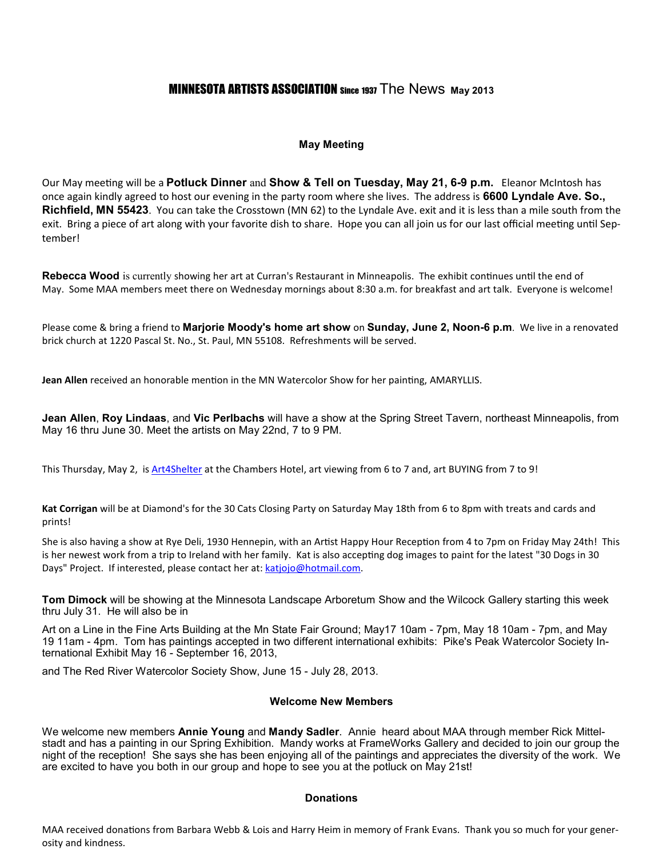# MINNESOTA ARTISTS ASSOCIATION Since 1937 The News **May 2013**

## **May Meeting**

Our May meeting will be a Potluck Dinner and Show & Tell on Tuesday, May 21, 6-9 p.m. Eleanor McIntosh has once again kindly agreed to host our evening in the party room where she lives. The address is **6600 Lyndale Ave. So., Richfield, MN 55423**. You can take the Crosstown (MN 62) to the Lyndale Ave. exit and it is less than a mile south from the exit. Bring a piece of art along with your favorite dish to share. Hope you can all join us for our last official meeting until September!

Rebecca Wood is currently showing her art at Curran's Restaurant in Minneapolis. The exhibit continues until the end of May. Some MAA members meet there on Wednesday mornings about 8:30 a.m. for breakfast and art talk. Everyone is welcome!

Please come & bring a friend to **Marjorie Moody's home art show** on **Sunday, June 2, Noon-6 p.m**. We live in a renovated brick church at 1220 Pascal St. No., St. Paul, MN 55108. Refreshments will be served.

Jean Allen received an honorable mention in the MN Watercolor Show for her painting, AMARYLLIS.

**Jean Allen**, **Roy Lindaas**, and **Vic Perlbachs** will have a show at the Spring Street Tavern, northeast Minneapolis, from May 16 thru June 30. Meet the artists on May 22nd, 7 to 9 PM.

This Thursday, May 2, is Art4Shelter at the Chambers Hotel, art viewing from 6 to 7 and, art BUYING from 7 to 9!

**Kat Corrigan** will be at Diamond's for the 30 Cats Closing Party on Saturday May 18th from 6 to 8pm with treats and cards and prints!

She is also having a show at Rye Deli, 1930 Hennepin, with an Artist Happy Hour Reception from 4 to 7pm on Friday May 24th! This is her newest work from a trip to Ireland with her family. Kat is also accepting dog images to paint for the latest "30 Dogs in 30 Days" Project. If interested, please contact her at: katjojo@hotmail.com.

**Tom Dimock** will be showing at the Minnesota Landscape Arboretum Show and the Wilcock Gallery starting this week thru July 31. He will also be in

Art on a Line in the Fine Arts Building at the Mn State Fair Ground; May17 10am - 7pm, May 18 10am - 7pm, and May 19 11am - 4pm. Tom has paintings accepted in two different international exhibits: Pike's Peak Watercolor Society International Exhibit May 16 - September 16, 2013,

and The Red River Watercolor Society Show, June 15 - July 28, 2013.

## **Welcome New Members**

We welcome new members **Annie Young** and **Mandy Sadler**. Annie heard about MAA through member Rick Mittelstadt and has a painting in our Spring Exhibition. Mandy works at FrameWorks Gallery and decided to join our group the night of the reception! She says she has been enjoying all of the paintings and appreciates the diversity of the work. We are excited to have you both in our group and hope to see you at the potluck on May 21st!

#### **Donations**

MAA received donations from Barbara Webb & Lois and Harry Heim in memory of Frank Evans. Thank you so much for your generosity and kindness.